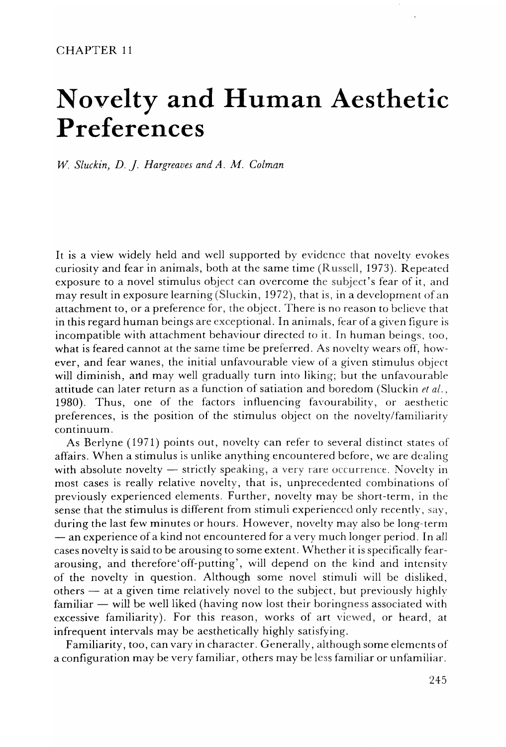# **Novelty and Human Aesthetic Preferences**

*W Sluckin, D.* j. *Hargreaves and A. M. Colman* 

It is a view widely held and well supported by evidence that novelty evokes curiosity and fear in animals, both at the same time (Russell, 1973). Repeated exposure to a novel stimulus object can overcome the subject's fear of it, and may result in exposure learning (Sluckin, 1972), that is, in a development of an attachment to, or a preference for, the object. There is no reason to believe that in this regard human beings are exceptional. In animals, fear of a given figure is incompatible with attachment behaviour directed to it. In human beings. too, what is feared cannot at the same time be preferred. As novelty wears off, however, and fear wanes, the initial unfavourable view of a given stimulus object will diminish, and may well gradually turn into liking; but the unfavourable attitude can later return as a function of satiation and boredom (Sluckin *et al.,*  1980). Thus, one of the factors influencing favourability, or aesthetic preferences, is the position of the stimulus object on the novelty/familiarity continuum.

As Berlyne (1971) points out, novelty can refer to several distinct states of affairs. When a stimulus is unlike anything encountered before, we are dealing with absolute novelty  $-$  strictly speaking, a very rare occurrence. Novelty in most cases is really relative novelty, that is, unprecedented combinations of previously experienced elements. Further, novelty may be short-term, in the sense that the stimulus is different from stimuli experienced only recently, say, during the last few minutes or hours. However, novelty may also be long-term  $-$  an experience of a kind not encountered for a very much longer period. In all cases novelty is said to be arousing to some extent. Whether it is specifically feararousing, and therefore'off-putting', will depend on the kind and intensity of the novelty in question. Although some novel stimuli will be disliked, others  $-$  at a given time relatively novel to the subject, but previously highly  $familiar - will be well liked (having now lost their boringness associated with$ excessive familiarity). For this reason, works of art viewed, or heard, at infrequent intervals may be aesthetically highly satisfving.

Familiarity, too, can vary in character. Generally, although some elements of a configuration may be very familiar, others may be less familiar or unfamiliar.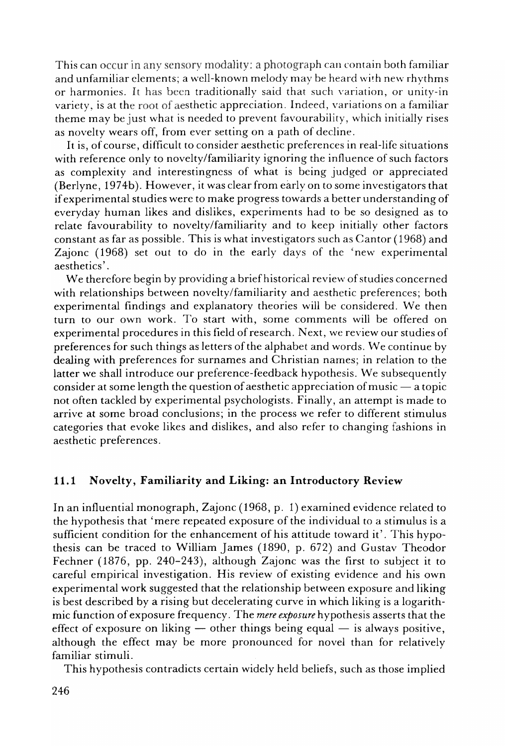This can occur in any sensory modality: a photograph can contain both familiar and unfamiliar elements; a well-known melody may be heard with new rhythms or harmonies. It has been traditionally said that such variation, or unity-in variety, is at the root of aesthetic appreciation. Indeed, variations on a familiar theme may be just what is needed to prevent favourability, which initially rises as novelty wears off, from ever setting on a path of decline.

It is, of course, difficult to consider aesthetic preferences in real-life situations with reference only to novelty/familiarity ignoring the influence of such factors as complexity and interestingness of what is being judged or appreciated (Berlyne, 1974b). However, it was clear from early on to some investigators that if experimental studies were to make progress towards a better understanding of everyday human likes and dislikes, experiments had to *be* so designed as to relate favourability to noveltylfamiliarity and to keep initially other factors constant as far as possible. This is what investigators such as Cantor (1968) and Zajonc (1968) set out to do in the early days of the 'new experimental aesthetics' .

We therefore begin by providing a brief historical review of studies concerned with relationships between novelty/familiarity and aesthetic preferences; both experimental findings and explanatory theories will be considered. We then turn to our own work. To start with, some comments will be offered on experimental procedures in this field of research. Next, we review our studies of preferences for such things as letters of the alphabet and words. We continue by dealing with preferences for surnames and Christian names; in relation to the latter we shall introduce our preference-feedback hypothesis. We subsequently consider at some length the question of aesthetic appreciation of music  $-$  a topic not often tackled by experimental psychologists. Finally, an attempt is made to arrive at some broad conclusions; in the process we refer to different stimulus categories that evoke likes and dislikes, and also refer to changing fashions in aesthetic preferences.

# **11.1 Novelty, Familiarity and Liking: an Introductory Review**

In an influential monograph, Zajonc (1968, p. 1) examined evidence related to the hypothesis that 'mere repeated exposure of the individual to a stimulus is a sufficient condition for the enhancement of his attitude toward it'. This hypothesis can be traced to William James (1890, p. 672) and Gustav Theodor Fechner (1876, pp. 240-243), although Zajonc was the first to subject it to careful empirical investigation. His review of existing evidence and his own experimental work suggested that the relationship between exposure and liking is best described by a rising but decelerating curve in which liking is a logarithmic function of exposure frequency. The *mere exposure* hypothesis asserts that the effect of exposure on liking  $-$  other things being equal  $-$  is always positive, although the effect may be more pronounced for novel than for relatively familiar stimuli.

This hypothesis contradicts certain widely held beliefs, such as those implied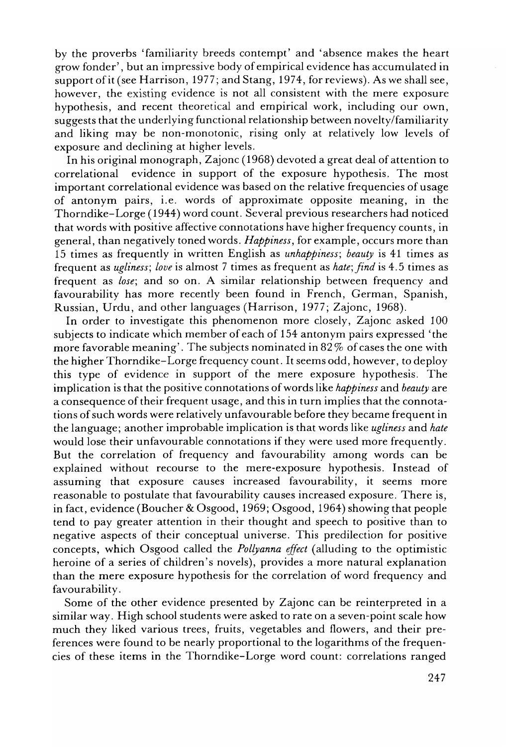by the proverbs 'familiarity breeds contempt' and 'absence makes the heart grow fonder', but an impressive body of empirical evidence has accumulated in support of it (see Harrison, 1977; and Stang, 1974, for reviews). As we shall see, however, the existing evidence is not all consistent with the mere exposure hypothesis, and recent theoretical and empirical work, including our own, suggests that the underlying functional relationship between novelty/familiarity and liking may be non-monotonic, rising only at relatively low levels of exposure and declining at higher levels.

In his original monograph, Zajonc (1968) devoted a great deal of attention to correlational evidence in support of the exposure hypothesis. The most important correlational evidence was based on the relative frequencies of usage of antonym pairs, i.e. words of approximate opposite meaning, in the Thorndike-Lorge (1944) word count. Several previous researchers had noticed that words with positive affective connotations have higher frequency counts, in general, than negatively toned words. *Happiness,* for example, occurs more than 15 times as frequently in written English as *unhappiness; beauty* is 41 times as frequent as *ugliness; loue* is almost 7 times as frequent as *hate; find* is 4.5 times as frequent as *lose;* and so on. A similar relationship between frequency and favourability has more recently been found in French, German, Spanish, Russian, Urdu, and other languages (Harrison, 1977; Zajonc, 1968).

In order to investigate this phenomenon more closely, Zajonc asked 100 subjects to indicate which member of each of 154 antonym pairs expressed 'the more favorable meaning'. The subjects nominated in  $82\%$  of cases the one with the higher Thorndike-Lorge frequency count. It seems odd, however, to deploy this type of evidence in support of the mere exposure hypothesis. The implication is that the positive connotations of words like *happiness* and *beauty* are a consequence of their frequent usage, and this in turn implies that the connotations of such words were relatively unfavourable before they became frequent in the language; another improbable implication is that words like *ugliness* and *hate*  would lose their unfavourable connotations if they were used more frequently. But the correlation of frequency and favourability among words can be explained without recourse to the mere-exposure hypothesis. Instead of assuming that exposure causes increased favourability, it seems more reasonable to postulate that favourability causes increased exposure. There is, in fact, evidence (Boucher & Osgood, 1969; Osgood, 1964) showing that people tend to pay greater attention in their thought and speech to positive than to negative aspects of their conceptual universe. This predilection for positive concepts, which Osgood called the *Pollyanna effect* (alluding to the optimistic heroine of a series of children's novels), provides a more natural explanation than the mere exposure hypothesis for the correlation of word frequency and favourability.

Some of the other evidence presented by Zajonc can be reinterpreted in a similar way. High school students were asked to rate on a seven-point scale how much they liked various trees, fruits, vegetables and flowers, and their preferences were found to be nearly proportional to the logarithms of the frequencies of these items in the Thorndike-Lorge word count: correlations ranged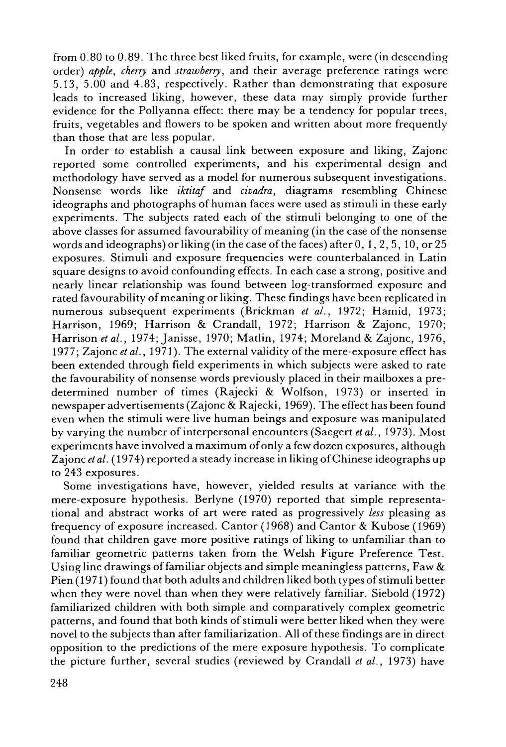from 0.80 to 0.89. The three best liked fruits, for example, were (in descending order) *apple, cherry* and *strawberry,* and their average preference ratings were 5.13,5.00 and 4.83, respectively. Rather than demonstrating that exposure leads to increased liking, however, these data may simply provide further evidence for the Pollyanna effect: there may be a tendency for popular trees, fruits, vegetables and flowers to be spoken and written about more frequently than those that are less popular.

In order to establish a causal link between exposure and liking, Zajonc reported some controlled experiments, and his experimental design and methodology have served as a model for numerous subsequent investigations. Nonsense words like *iktitaf* and *civadra,* diagrams resembling Chinese ideographs and photographs of human faces were used as stimuli in these early experiments. The subjects rated each of the stimuli belonging to one of the above classes for assumed favourability of meaning (in the case of the nonsense words and ideographs) or liking (in the case of the faces) after 0, 1, 2, 5, 10, or 25 exposures. Stimuli and exposure frequencies were counterbalanced in Latin square designs to avoid confounding effects. In each case a strong, positive and nearly linear relationship was found between log-transformed exposure and rated favourability of meaning or liking. These findings have been replicated in numerous subsequent experiments (Brickman *et al.,* 1972; Hamid, 1973; Harrison, 1969; Harrison & Crandall, 1972; Harrison & Zajonc, 1970; Harrison *et al.,* 1974; Janisse, 1970; Matlin, 1974; Moreland & Zajonc, 1976, 1977; Zajonc *et al.,* 1971). The external validity of the mere-exposure effect has been extended through field experiments in which subjects were asked to rate the favourability of nonsense words previously placed in their mailboxes a predetermined number of times (Rajecki & Wolfson, 1973) or inserted in newspaper advertisements (Zajonc & Rajecki, 1969). The effect has been found even when the stimuli were live human beings and exposure was manipulated by varying the number of interpersonal encounters (Saegert *et al.,* 1973). Most experiments have involved a maximum of only a few dozen exposures, although Zajonc *et al.* (1974) reported a steady increase in liking of Chinese ideographs up to 243 exposures.

Some investigations have, however, yielded results at variance with the mere-exposure hypothesis. Berlyne (1970) reported that simple representational and abstract works of art were rated as progressively *less* pleasing as frequency of exposure increased. Cantor (1968) and Cantor & Kubose (1969) found that children gave more positive ratings of liking to unfamiliar than to familiar geometric patterns taken from the Welsh Figure Preference Test. Using line drawings of familiar objects and simple meaningless patterns, Faw  $\&$ Pien (1971) found that both adults and children liked both types of stimuli better when they were novel than when they were relatively familiar. Siebold (1972) familiarized children with both simple and comparatively complex geometric patterns, and found that both kinds of stimuli were better liked when they were novel to the subjects than after familiarization. All of these findings are in direct opposition to the predictions of the mere exposure hypothesis. To complicate the picture further, several studies (reviewed by Crandall *et al.,* 1973) have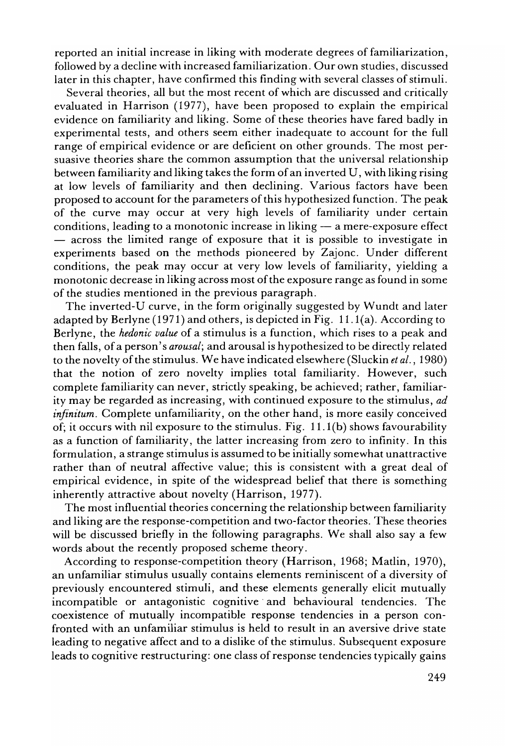reported an initial increase in liking with moderate degrees of familiarization, followed by a decline with increased familiarization. Our own studies, discussed later in this chapter, have confirmed this finding with several classes of stimuli.

Several theories, all but the most recent of which are discussed and critically evaluated in Harrison (1977), have been proposed to explain the empirical evidence on familiarity and liking. Some of these theories have fared badly in experimental tests, and others seem either inadequate to account for the full range of empirical evidence or are deficient on other grounds. The most persuasive theories share the common assumption that the universal relationship between familiarity and liking takes the form of an inverted U, with liking rising at low levels of familiarity and then declining. Various factors have been proposed to account for the parameters of this hypothesized function. The peak of the curve may occur at very high levels of familiarity under certain  $conditions, leading to a monotonic increase in  $likine - a mere-exposure effect$$  $-$  across the limited range of exposure that it is possible to investigate in experiments based on the methods pioneered by Zajonc. Under different conditions, the peak may occur at very low levels of familiarity, yielding a monotonic decrease in liking across most of the exposure range as found in some of the studies mentioned in the previous paragraph.

The inverted-U curve, in the form originally suggested by Wundt and later adapted by Berlyne (1971) and others, is depicted in Fig. 11.I(a). According to Berlyne, the *hedonic value* of a stimulus is a function, which rises to a peak and then falls, of a person's *arousal;* and arousal is hypothesized to be directly related to the novelty of the stimulus. We have indicated elsewhere (Sluckin *et al., 1980)*  that the notion of zero novelty implies total familiarity. However, such complete familiarity can never, strictly speaking, be achieved; rather, familiarity may be regarded as increasing, with continued exposure to the stimulus, *ad infinitum.* Complete unfamiliarity, on the other hand, is more easily conceived of; it occurs with nil exposure to the stimulus. Fig.  $11.1(b)$  shows favourability as a function of familiarity, the latter increasing from zero to infinity. In this formulation, a strange stimulus is assumed to be initially somewhat unattractive rather than of neutral affective value; this is consistent with a great deal of empirical evidence, in spite of the widespread belief that there is something inherently attractive about novelty (Harrison, 1977).

The most influential theories concerning the relationship between familiarity and liking are the response-competition and two-factor theories. These theories will be discussed briefly in the following paragraphs. We shall also say a few words about the recently proposed scheme theory.

According to response-competition theory (Harrison, 1968; Matlin, 1970), an unfamiliar stimulus usually contains elements reminiscent of a diversity of previously encountered stimuli, and these elements generally elicit mutually incompatible or antagonistic cognitive· and behavioural tendencies. The coexistence of mutually incompatible response tendencies in a person confronted with an unfamiliar stimulus is held to result in an aversive drive state leading to negative affect and to a dislike of the stimulus. Subsequent exposure leads to cognitive restructuring: one class of response tendencies typically gains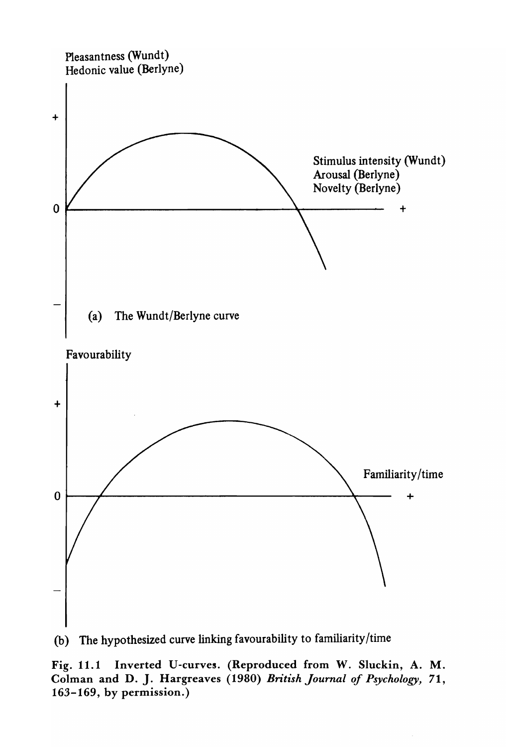

Fig. 11.1 Inverted V-curves. (Reproduced from W. Sluckin, A. M. Colman and D. J. Hargreaves (1980) *British Journal of Psychology*, 71, 163-169, by permission.)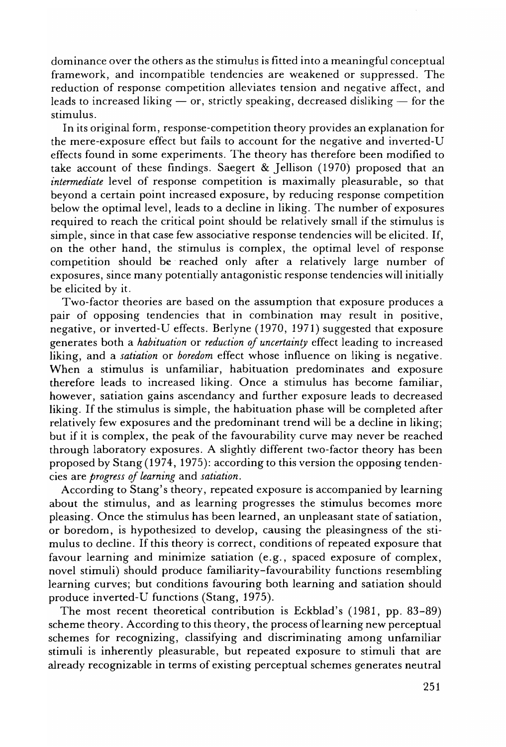dominance over the others as the stimulus is fitted into a meaningful conceptual framework, and incompatible tendencies are weakened or suppressed. The reduction of response competition alleviates tension and negative affect, and leads to increased liking  $-$  or, strictly speaking, decreased disliking  $-$  for the stimulus.

In its original form, response-competition theory provides an explanation for the mere-exposure effect but fails to account for the negative and inverted-U effects found in some experiments. The theory has therefore been modified to take account of these findings. Saegert  $\&$  Jellison (1970) proposed that an *intermediate* level of response competition is maximally pleasurable, so that beyond a certain point increased exposure, by reducing response competition below the optimal level, leads to a decline in liking. The number of exposures required to reach the critical point should be relatively small if the stimulus is simple, since in that case few associative response tendencies will be elicited. If, on the other hand, the stimulus is complex, the optimal level of response competition should be reached only after a relatively large number of exposures, since many potentially antagonistic response tendencies will initially be elicited by it.

Two-factor theories are based on the assumption that exposure produces a pair of opposing tendencies that in combination may result in positive, negative, or inverted-U effects. Berlyne (1970, 1971) suggested that exposure generates both a *habituation* or *reduction oj uncertainty* effect leading to increased liking, and a *satiation* or *boredom* effect whose influence on liking is negative. When a stimulus is unfamiliar, habituation predominates and exposure therefore leads to increased liking. Once a stimulus has become familiar, however, satiation gains ascendancy and further exposure leads to decreased liking. If the stimulus is simple, the habituation phase will be completed after relatively few exposures and the predominant trend will be a decline in liking; but if it is complex, the peak of the favourability curve may never be reached through laboratory exposures. A slightly different two-factor theory has been proposed by Stang (1974, 1975): according to this version the opposing tendencies are *progress oj learning* and *satiation.* 

According to Stang's theory, repeated exposure is accompanied by learning about the stimulus, and as learning progresses the stimulus becomes more pleasing. Once the stimulus has been learned, an unpleasant state of satiation, or boredom, is hypothesized to develop, causing the pleasingness of the stimulus to decline. If this theory is correct, conditions of repeated exposure that favour learning and minimize satiation (e.g., spaced exposure of complex, novel stimuli) should produce familiarity-favourability functions resembling learning curves; but conditions favouring both learning and satiation should produce inverted-U functions (Stang, 1975).

The most recent theoretical contribution is Eckblad's (1981, pp. 83-89) scheme theory. According to this theory, the process oflearning new perceptual schemes for recognizing, classifying and discriminating among unfamiliar stimuli is inherently pleasurable, but repeated exposure to stimuli that are already recognizable in terms of existing perceptual schemes generates neutral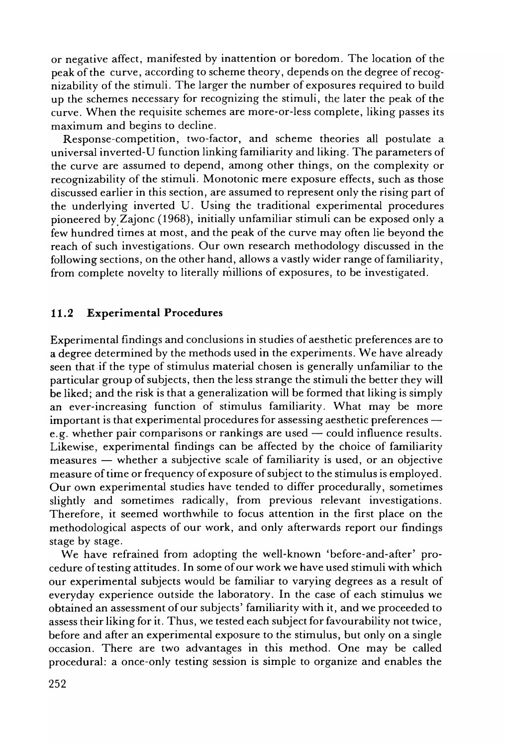or negative affect, manifested by inattention or boredom. The location of the peak of the curve, according to scheme theory, depends on the degree of recognizability of the stimuli. The larger the number of exposures required to build up the schemes necessary for recognizing the stimuli, the later the peak of the curve. When the requisite schemes are more-or-less complete, liking passes its maximum and begins to decline.

Response-competition, two-factor, and scheme theories all postulate a universal inverted-U function linking familiarity and liking. The parameters of the curve are assumed to depend, among other things, on the complexity or recognizability of the stimuli. Monotonic mere exposure effects, such as those discussed earlier in this section, are assumed to represent only the rising part of the underlying inverted U. Using the traditional experimental procedures pioneered by. Zajonc (1968), initially unfamiliar stimuli can be exposed only a few hundred times at most, and the peak of the curve may often lie beyond the reach of such investigations. Our own research methodology discussed in the following sections, on the other hand, allows a vastly wider range of familiarity, from complete novelty to literally millions of exposures, to be investigated.

#### 11.2 Experimental Procedures

Experimental findings and conclusions in studies of aesthetic preferences are to a degree determined by the methods used in the experiments. We have already seen that if the type of stimulus material chosen is generally unfamiliar to the particular group of subjects, then the less strange the stimuli the better they will be liked; and the risk is that a generalization will be formed that liking is simply an ever-increasing function of stimulus familiarity. What may be more important is that experimental procedures for assessing aesthetic preferences  $$ e.g. whether pair comparisons or rankings are used  $-$  could influence results. Likewise, experimental findings can be affected by the choice of familiarity  $measures$  - whether a subjective scale of familiarity is used, or an objective measure of time or frequency of exposure of subject to the stimulus is employed. Our own experimental studies have tended to differ procedurally, sometimes slightly and sometimes radically, from previous relevant investigations. Therefore, it seemed worthwhile to focus attention in the first place on the methodological aspects of our work, and only afterwards report our findings stage by stage.

We have refrained from adopting the well-known 'before-and-after' procedure of testing attitudes. In some of our work we have used stimuli with which our experimental subjects would be familiar to varying degrees as a result of everyday experience outside the laboratory. In the case of each stimulus we obtained an assessment of our subjects' familiarity with it, and we proceeded to assess their liking for it. Thus, we tested each subject for favourability not twice, before and after an experimental exposure to the stimulus, but only on a single occasion. There are two advantages in this method. One may be called procedural: a once-only testing session is simple to organize and enables the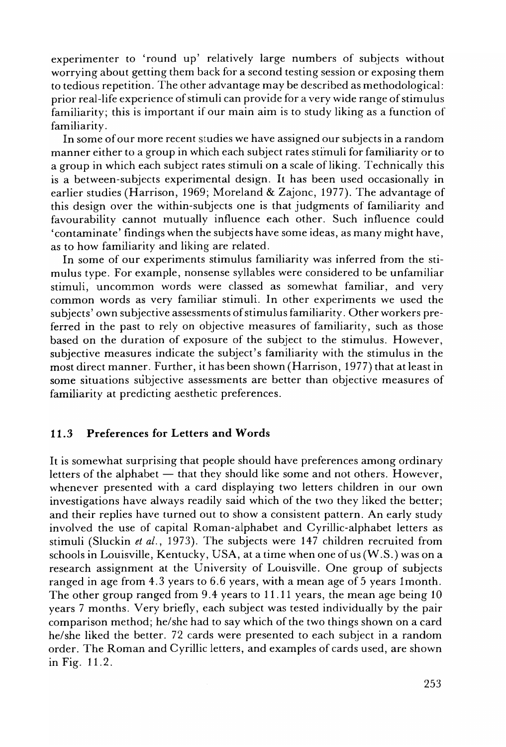experimenter to 'round up' relatively large numbers of subjects without worrying about getting them back for a second testing session or exposing them to tedious repetition. The other advantage may be described as methodological: prior real-life experience of stimuli can provide for a very wide range of stimulus familiarity; this is important if our main aim is to study liking as a function of familiarity.

In some of our more recent studies wc have assigned our subjects in a random manner either to a group in which each subject rates stimuli for familiarity or to a group in which each subject rates stimuli on a scale ofliking. Technically this is a between-subjects experimental design. It has been used occasionally in earlier studies (Harrison, 1969; Moreland & Zajonc, 1977). The advantage of this design over the within-subjects one is that judgments of familiarity and favourability cannot mutually influence each other. Such influence could 'contaminate' findings when the subjects have some ideas, as many might have, as to how familiarity and liking are related.

In some of our experiments stimulus familiarity was inferred from the stimulus type. For example, nonsense syllables were considered to be unfamiliar stimuli, uncommon words were classed as somewhat familiar, and very common words as very familiar stimuli. In other experiments we used the subjects' own subjective assessments of stimulus familiarity. Other workers preferred in the past to rely on objective measures of familiarity, such as those based on the duration of exposure of the subject to the stimulus. However, subjective measures indicate the subject's familiarity with the stimulus in the most direct manner. Further, it has been shown (Harrison, 1977) that at least in some situations subjective assessments are better than objective measures of familiarity at predicting aesthetic preferences.

#### 11.3 Preferences for Letters and Words

It is somewhat surprising that people should have preferences among ordinary letters of the alphabet  $-$  that they should like some and not others. However, whenever presented with a card displaying two letters children in our own investigations have always readily said which of the two they liked the better; and their replies have turned out to show a consistent pattern. An early study involved the use of capital Roman-alphabet and Cyrillic-alphabet letters as stimuli (Sluckin *et al.,* 1973). The subjects were 147 children recruited from schools in Louisville, Kentucky, USA, at a time when one of us (W.S.) was on a research assignment at the University of Louisville. One group of subjects ranged in age from 4.3 years to 6.6 years, with a mean age of 5 years 1month. The other group ranged from 9.4 years to 11.11 years, the mean age being 10 years 7 months. Very briefly, each subject was tested individually by the pair comparison method; hc/she had to say which of the two things shown on a card he/she liked the better. 72 cards were presented to each subject in a random order. The Roman and Cyrillic letters, and examples of cards used, are shown in Fig. 11.2.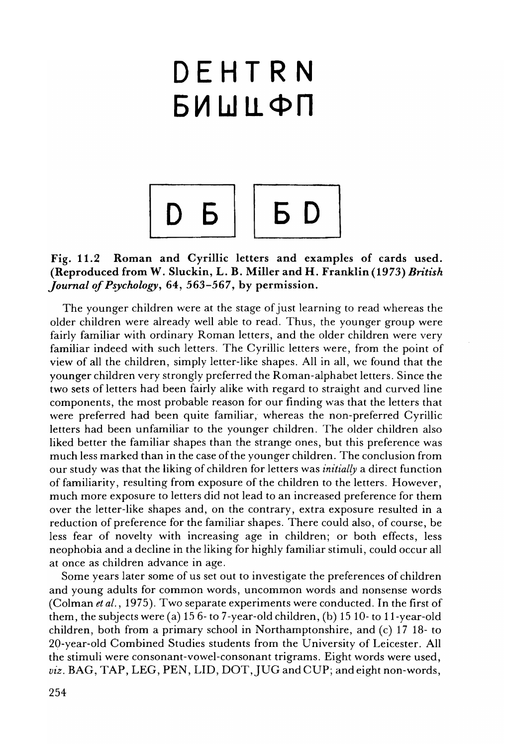# **DEHTRN БИШЦФП**

$$
\begin{array}{|c|c|c|}\n\hline\nD & D \\
\hline\nD & D \\
\hline\n\end{array}
$$

## Fig. 11.2 Roman and CyrilIic letters and examples of cards used. (Reproduced from W. Sluckin, L. B. Miller and H. Franklin (1973) *British Journal of Psychology,* 64, 563-567, by permission.

The younger children were at the stage of just learning to read whereas the older children were already well able to read. Thus, the younger group were fairly familiar with ordinary Roman letters, and the older children were very familiar indeed with such letters. The Cyrillic letters were, from the point of view of all the children, simply letter-like shapes. All in all, we found that the younger children very strongly preferred the Roman-alphabet letters. Since the two sets of letters had been fairly alike with regard to straight and curved line components, the most probable reason for our finding was that the letters that were preferred had been quite familiar, whereas the non-preferred Cyrillic letters had been unfamiliar to the younger children. The older children also liked better the familiar shapes than the strange ones, but this preference was much less marked than in the case ofthe younger children. The conclusion from our study was that the liking of children for letters was *initially* a direct function of familiarity, resulting from exposure of the children to the letters. However, much more exposure to letters did not lead to an increased preference for them over the letter-like shapes and, on the contrary, extra exposure resulted in a reduction of preference for the familiar shapes. There could also, of course, be less fear of novelty with increasing age in children; or both effects, less neophobia and a decline in the liking for highly familiar stimuli, could occur all at once as children advance in age.

Some years later some of us set out to investigate the preferences of children and young adults for common words, uncommon words and nonsense words (Colman *et al.,* 1975). Two separate experiments were conducted. In the first of them, the subjects were (a)  $156$ - to  $7$ -year-old children, (b)  $1510$ - to  $11$ -year-old children, both from a primary school in Northamptonshire, and (c) 17 18- to 20-year-old Combined Studies students from the University of Leicester. All the stimuli were consonant-vowel-consonant trigrams. Eight words were used, viz. BAG, TAP, LEG, PEN, LID, DOT, JUG and CUP; and eight non-words,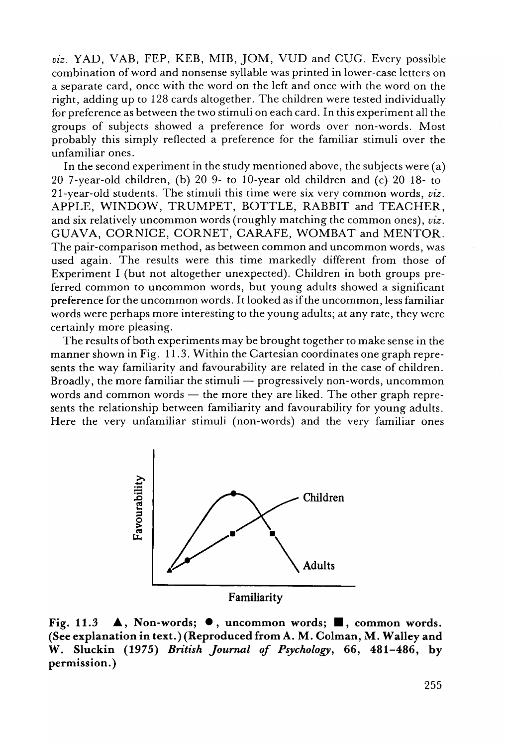*viz.* YAD, VAB, FEP, KEB, MIB, JOM, VUD and CUG. Every possible combination of word and nonsense syllable was printed in lower-case letters on a separate card, once with the word on the left and once with the word on the right, adding up to 128 cards altogether. The children were tested individually for preference as between the two stimuli on each card. In this experiment all the groups of subjects showed a preference for words over non-words. Most probably this simply reflected a preference for the familiar stimuli over the unfamiliar ones.

In the second experiment in the study mentioned above, the subjects were (a) 20 7-year-old children, (b) 20 9- to lO-year old children and (c) 20 18- to 21-year-old students. The stimuli this time were six very common words, *viz.*  APPLE, WINDOW, TRUMPET, BOTTLE, RABBIT and TEACHER, and six relatively uncommon words (roughly matching the common ones), *viz.*  GUAVA, CORNICE, CORNET, CARAFE, WOMBAT and MENTOR. The pair-comparison method, as between common and uncommon words, was used again. The results were this time markedly different from those of Experiment I (but not altogether unexpected). Children in both groups preferred common to uncommon words, but young adults showed a significant preference for the uncommon words. It looked as if the uncommon, less familiar words were perhaps more interesting to the young adults; at any rate, they were certainly more pleasing.

The results of both experiments may be brought together to make sense in the manner shown in Fig. 11.3. Within the Cartesian coordinates one graph represents the way familiarity and favourability are related in the case of children. Broadly, the more familiar the stimuli  $-$  progressively non-words, uncommon words and common words  $-$  the more they are liked. The other graph represents the relationship between familiarity and favourability for young adults. Here the very unfamiliar stimuli (non-words) and the very familiar ones



Familiarity

Fig. 11.3  $\blacktriangle$ , Non-words;  $\blacktriangleright$ , uncommon words;  $\blacksquare$ , common words. (See explanation in text.) (Reproduced from A. M. Colman, M. WaIley and W. Sluckin (1975) *British Journal of Psychology,* 66, 481-486, by permission. )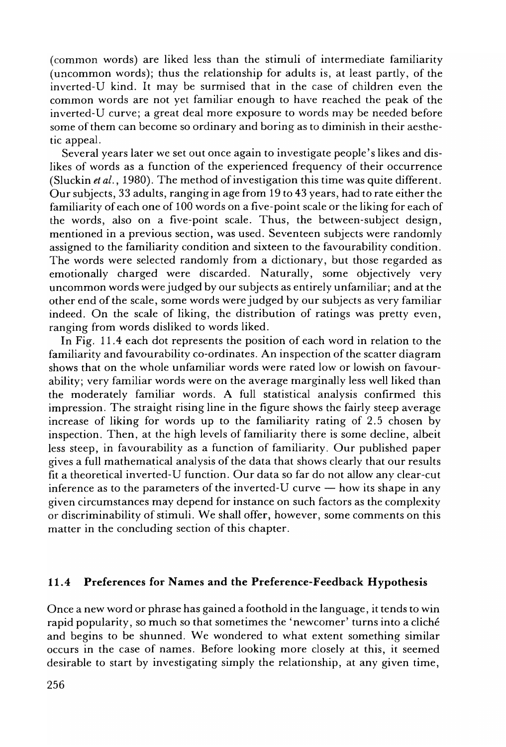(common words) are liked less than the stimuli of intermediate familiarity (uncommon words); thus the relationship for adults is, at least partly, of the inverted-U kind. It may be surmised that in the case of children even the common words are not yet familiar enough to have reached the peak of the inverted-U curve; a great deal more exposure to words may be needed before some of them can become so ordinary and boring as to diminish in their aesthetic appeal.

Several years later we set out once again to investigate people's likes and dislikes of words as a function of the experienced frequency of their occurrence (Sluckin *et al.,* 1980). The method of investigation this time was quite different. Our subjects, 33 adults, ranging in age from 19 to 43 years, had to rate either the familiarity of each one of 100 words on a five-point scale or the liking for each of the words, also on a five-point scale. Thus, the between-subject design, mentioned in a previous section, was used. Seventeen subjects were randomly assigned to the familiarity condition and sixteen to the favourability condition. The words were selected randomly from a dictionary, but those regarded as emotionally charged were discarded. Naturally, some objectively very uncommon words werejudged by our subjects as entirely unfamiliar; and at the other end of the scale, some words were judged by our subjects as very familiar indeed. On the scale of liking, the distribution of ratings was pretty even, ranging from words disliked to words liked.

In Fig. 11.4 each dot represents the position of each word in relation to the familiarity and favourability co-ordinates. An inspection of the scatter diagram shows that on the whole unfamiliar words were rated low or lowish on favourability; very familiar words were on the average marginally less well liked than the moderately familiar words. A full statistical analysis confirmed this impression. The straight rising line in the figure shows the fairly steep average increase of liking for words up to the familiarity rating of 2.5 chosen by inspection. Then, at the high levels of familiarity there is some decline, albeit less steep, in favourability as a function of familiarity. Our published paper gives a full mathematical analysis of the data that shows clearly that our results fit a theoretical inverted-U function. Our data so far do not allow any clear-cut inference as to the parameters of the inverted- $U$  curve  $-$  how its shape in any given circumstances may depend for instance on such factors as the complexity or discriminability of stimuli. We shall offer, however, some comments on this matter in the concluding section of this chapter.

#### 11.4 Preferences for Names and the Preference-Feedback Hypothesis

Once a new word or phrase has gained a foothold in the language, it tends to win rapid popularity, so much so that sometimes the 'newcomer' turns into a cliche and begins to be shunned. We wondered to what extent something similar occurs in the case of names. Before looking more closely at this, it seemed desirable to start by investigating simply the relationship, at any given time,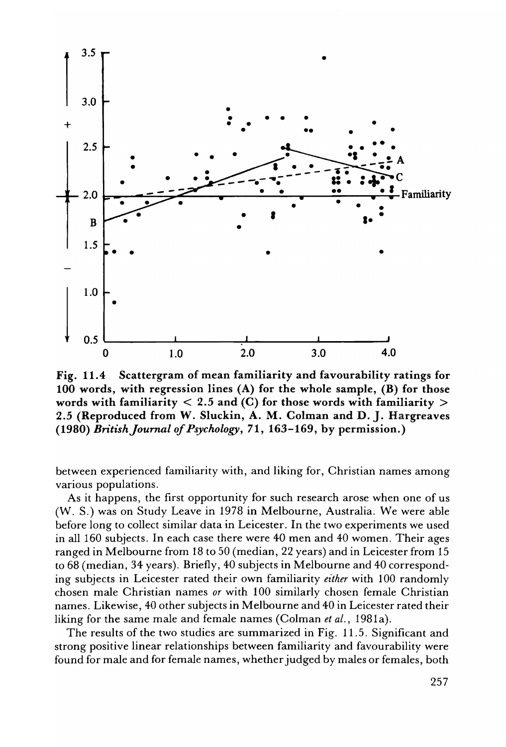

Fig. 11.4 Scattergram of mean familiarity and favourability ratings for 100 words, with regression lines (A) for the whole sample, (B) for those words with familiarity  $< 2.5$  and (C) for those words with familiarity  $>$ 2.5 (Reproduced from W. Sluckin, A. M. Colman and D. J. Hargreaves *(1980) BritishJournal of Psychology,* 71, 163-169, by permission.)

between experienced familiarity with, and liking for, Christian names among various populations.

As it happens, the first opportunity for such research arose when one of us (W. S.) was on Study Leave in 1978 in Melbourne, Australia. We were able before long to collect similar data in Leicester. In the two experiments we used in all 160 subjects. In each case there were 40 men and 40 women. Their ages ranged in Melbourne from 18 to 50 (median, 22 years) and in Leicester from 15 to 68 (median, 34 years). Briefly, 40 subjects in Melbourne and 40 corresponding subjects in Leicester rated their own familiarity *either* with 100 randomly chosen male Christian names *or* with 100 similarly chosen female Christian names. Likewise, 40 other subjects in Melbourne and 40 in Leicester rated their liking for the same male and female names (Colman *et al.,* 1981a).

The results of the two studies are summarized in Fig. 11.5. Significant and strong positive linear relationships between familiarity and favourability were found for male and for female names, whether judged by males or females, both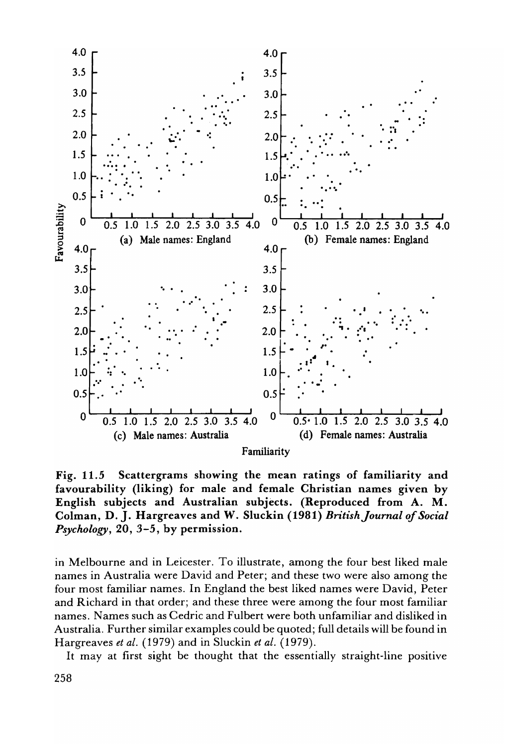

Fig, 11.5 Scattergrams showing the mean ratings of familiarity and favourability (liking) for male and female Christian names given by English subjects and Australian subjects. (Reproduced from A, M, Coiman, D, J. Hargreaves and W, Sluckin (1981) *BritishJournal of Social Psychology*, 20, 3-5, by permission.

in Melbourne and in Leicester. To illustrate, among the four best liked male names in Australia were David and Peter; and these two were also among the four most familiar names. In England the best liked names were David, Peter and Richard in that order; and these three were among the four most familiar names. Names such as Cedric and Fulbert were both unfamiliar and disliked in Australia. Further similar examples could be quoted; full details will be found in Hargreaves *et al.* (1979) and in Sluckin *et al. (1979).* 

It may at first sight be thought that the essentially straight-line positive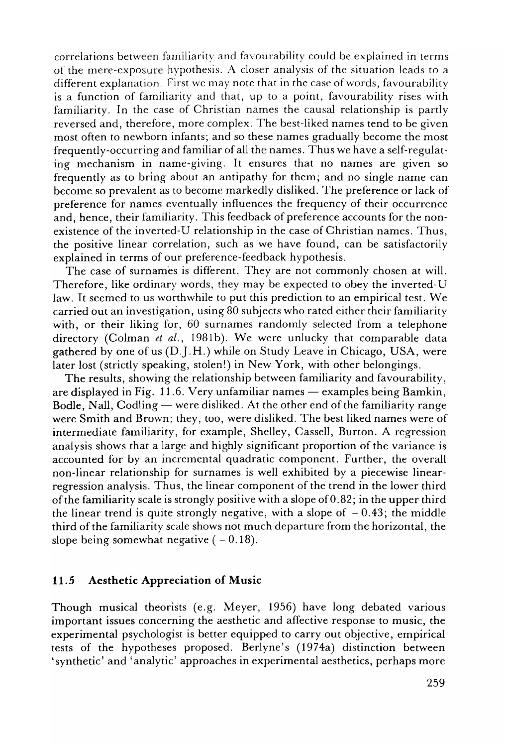correlations between familiarity and favourability could be explained in terms of the mere-exposure hypothesis. A closer analysis of the situation leads to a different explanation. First we may note that in the case of words, favourability is a function of familiarity and that, up to a point, favourability rises with familiarity. In the case of Christian names the causal relationship is partly reversed and, therefore, more complex. The best-liked names tend to be given most often to newborn infants; and so these names gradually become the most frequently-occurring and familiar of all the names. Thus we have a self-regulating mechanism in name-giving. It ensures that no names are given so frequently as to bring about an antipathy for them; and no single name can become so prevalent as to become markedly disliked. The preference or lack of preference for names eventually influences the frequency of their occurrence and, hence, their familiarity. This feedback of preference accounts for the nonexistence of the inverted-U relationship in the case of Christian names. Thus, the positive linear correlation, such as we have found, can be satisfactorily explained in terms of our preference-feedback hypothesis.

The case of surnames is different. They are not commonly chosen at will. Therefore, like ordinary words, they may be expected to obey the inverted-U law. It seemed to us worthwhile to put this prediction to an empirical test. We carried out an investigation, using 80 subjects who rated either their familiarity with, or their liking for, 60 surnames randomly selected from a telephone directory (Colman *et al.,* 1981b). We were unlucky that comparable data gathered by one of us (Dj.H.) while on Study Leave in Chicago, USA, *were*  later lost (strictly speaking, stolen!) in New York, with other belongings.

The results, showing the relationship between familiarity and favourability, are displayed in Fig. 11.6. Very unfamiliar names  $-$  examples being Bamkin, Bodle, Nall,  $\text{Codling}$   $\longrightarrow$  were disliked. At the other end of the familiarity range were Smith and Brown; they, too, were disliked. The best liked names were of intermediate familiarity, for example, Shelley, Cassell, Burton. A regression analysis shows that a large and highly significant proportion of the variance is accounted for by an incremental quadratic component. Further, the overall non-linear relationship for surnames is well exhibited by a piecewise linearregression analysis. Thus, the linear component of the trend in the lower third of the familiarity scale is strongly positive with a slope of  $0.82$ ; in the upper third the linear trend is quite strongly negative, with a slope of  $-0.43$ ; the middle third of the familiarity scale shows not much departure from the horizontal, the slope being somewhat negative  $(-0.18)$ .

#### **11.5** Aesthetic Appreciation of Music

Though musical theorists (e.g. Meyer, 1956) have long debated various important issues concerning the aesthetic and affective response to music, the experimental psychologist is better equipped to carry out objective, empirical tests of the hypotheses proposed. Berlyne's (1974a) distinction between 'synthetic' and 'analytic' approaches in experimental aesthetics, perhaps more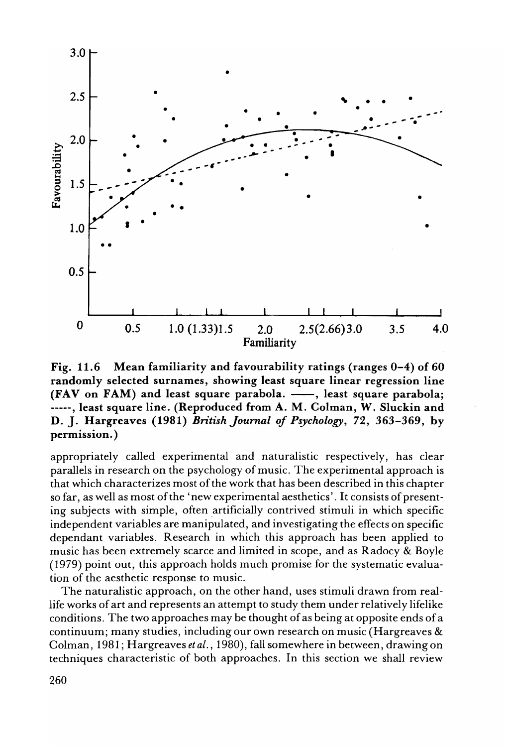

Fig. 11.6 Mean familiarity and favourability ratings (ranges 0-4) of 60 randomly selected surnames, showing least square linear regression line  $(FAV on FAM)$  and least square parabola.  $\frac{1}{100}$ , least square parabola; -----, least square line. (Reproduced from A. M. Colman, W. SIuckin and D. J. Hargreaves (1981) *British Journal of Psychology*, 72, 363-369, by permission. )

appropriately called experimental and naturalistic respectively, has clear parallels in research on the psychology of music. The experimental approach is that which characterizes most of the work that has been described in this chapter so far, as well as most of the 'new experimental aesthetics'. It consists of presenting subjects with simple, often artificially contrived stimuli in which specific independent variables are manipulated, and investigating the effects on specific dependant variables. Research in which this approach has been applied to music has been extremely scarce and limited in scope, and as Radocy & Boyle (1979) point out, this approach holds much promise for the systematic evaluation of the aesthetic response to music.

The naturalistic approach, on the other hand, uses stimuli drawn from reallife works of art and represents an attempt to study them under relatively lifelike conditions. The two approaches may be thought of as being at opposite ends of a continuum; many studies, including our own research on music (Hargreaves & Colman, 1981; Hargreaves *et al.,* 1980), fall somewhere in between, drawing on techniques characteristic of both approaches. In this section we shall review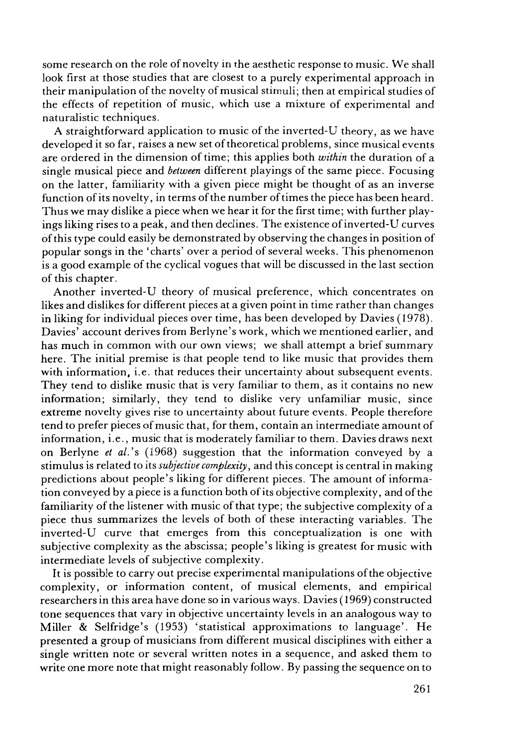some research on the role of novelty in the aesthetic response to music. We shall look first at those studies that are closest to a purely experimental approach in their manipulation of the novelty of musical stimuli; then at empirical studies of the effects of repetition of music, which use a mixture of experimental and naturalistic techniques.

A straightforward application to music of the inverted-U theory, as we have developed it so far, raises a new set of theoretical problems, since musical events are ordered in the dimension of time; this applies both *within* the duration of a single musical piece and *between* different playings of the same piece. Focusing on the latter, familiarity with a given piece might be thought of as an inverse function of its novelty, in terms of the number of times the piece has been heard. Thus we may dislike a piece when we hear it for the first time; with further playings liking rises to a peak, and then declines. The existence ofinverted-U curves of this type could easily be demonstrated by observing the changes in position of popular songs in the 'charts' over a period of several weeks. This phenomenon is a good example of the cyclical vogues that will be discussed in the last section of this chapter.

Another inverted-U theory of musical preference, which concentrates on likes and dislikes for different pieces at a given point in time rather than changes in liking for individual pieces over time, has been developed by Davies (1978). Davies' account derivcs from Berlyne's work, which we mentioned earlier, and has much in common with our own views; we shall attempt a brief summary here. The initial premise is that people tend to like music that provides them with information. i.e. that reduces their uncertainty about subsequent events. They tend to dislike music that is very familiar to them, as it contains no new information; similarly, they tend to dislike very unfamiliar music, since extreme novelty gives rise to uncertainty about future events. People therefore tend to prefer pieces of music that, for them, contain an intermediate amount of information, i.e., music that is moderately familiar to them. Davics draws next on Berlyne *et al.'s* (1968) suggestion that the information conveyed by a stimulus is related to its *subjective complexity,* and this concept is central in making predictions about people's liking for different pieces. The amount of information conveyed by a piece is a function both of its objective complexity, and of the familiarity of the listener with music of that type; the subjective complexity of a piece thus summarizes the levels of both of these interacting variables. The inverted-U curve that emerges from this conceptualization is one with subjective complexity as the abscissa; people's liking is greatest for music with intermediate levels of subjective complexity.

It is possible to carry out precise experimental manipulations of the objective complexity, or information content, of musical elements, and empirical researchers in this area have done so in various ways. Davies (1969) constructed tone sequences that vary in objective uncertainty levels in an analogous way to Miller & Selfridge's (1953) 'statistical approximations to language'. He presented a group of musicians from different musical disciplines with either a single written note or several written notes in a sequence, and asked them to write one more note that might reasonably follow. By passing the sequence on to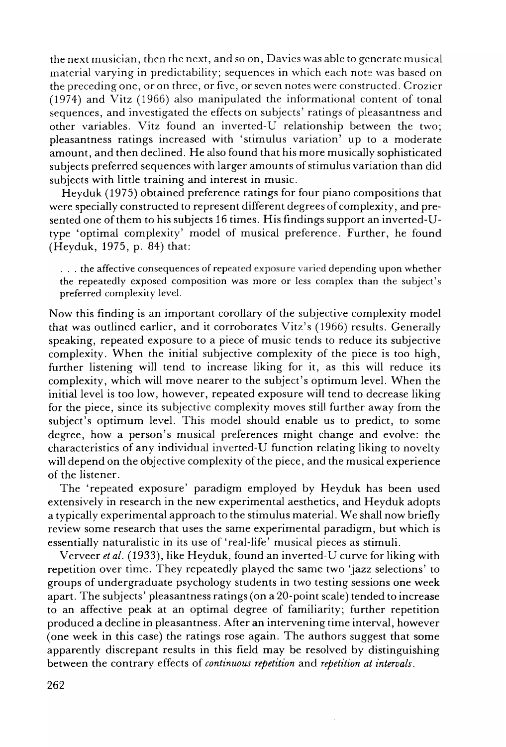the next musician, then the next, and so on, Davies was able to generate musical material varying in predictability; sequences in which each note was based on the preceding one, or on three, or five, or seven notes were constructed. Crozier  $(1974)$  and  $\tilde{V}$ itz (1966) also manipulated the informational content of tonal sequences, and investigated the effects on subjects' ratings of pleasantness and other variables. Vitz found an inverted-U relationship between the two; pleasantness ratings increased with 'stimulus variation' up to a moderate amount, and then declined. He also found that his more musically sophisticated subjects preferred sequences with larger amounts of stimulus variation than did subjects with little training and interest in music.

Heyduk (1975) obtained preference ratings for four piano compositions that were specially constructed to represent different degrees of complexity, and presented one of them to his subjects 16 times. His findings support an inverted-Utype 'optimal complexity' model of musical preference. Further, he found (Heyduk, 1975, p. 84) that:

... the affective consequences of repeated exposure varied depending upon whether the repeatedly exposed composition was more or less complex than the subject's preferred complexity level.

Now this finding is an important corollary of the subjective complexity model that was outlined earlier, and it corroborates Vitz's (1966) results. Generally speaking, repeated exposure to a piece of music tends to reduce its subjective complexity. When the initial subjective complexity of the piece is too high, further listening will tend to increase liking for it, as this will reduce its complexity, which will move nearer to the subject's optimum level. When the initial level is too low, however, repeated exposure will tend to decrease liking for the piece, since its subjective complexity moves still further away from the subject's optimum level. This model should enable us to predict, to some degree, how a person's musical preferences might change and evolve: the characteristics of any individual inverted-U function relating liking to novelty will depend on the objective complexity of the piece, and the musical experience of the listener.

The 'repeated exposure' paradigm employed by Heyduk has been used extensively in research in the new experimental aesthetics, and Heyduk adopts a typically experimental approach to the stimulus material. We shall now briefly review some research that uses the same experimental paradigm, but which is essentially naturalistic in its use of' real-life' musical pieces as stimuli.

Verveer *et al.* (1933), like Heyduk, found an inverted-U curve for liking with repetition over time. They repeatedly played the same two 'jazz selections' to groups of undergraduate psychology students in two testing sessions one week apart. The subjects' pleasantness ratings (on a 20-point scale) tended to increase to an affective peak at an optimal degree of familiarity; further repetition produced a decline in pleasantness. After an intervening time interval, however (one week in this case) the ratings rose again. The authors suggest that some apparently discrepant results in this field may be resolved by distinguishing between the contrary effects of *continuous repetition* and *repetition at intervals.*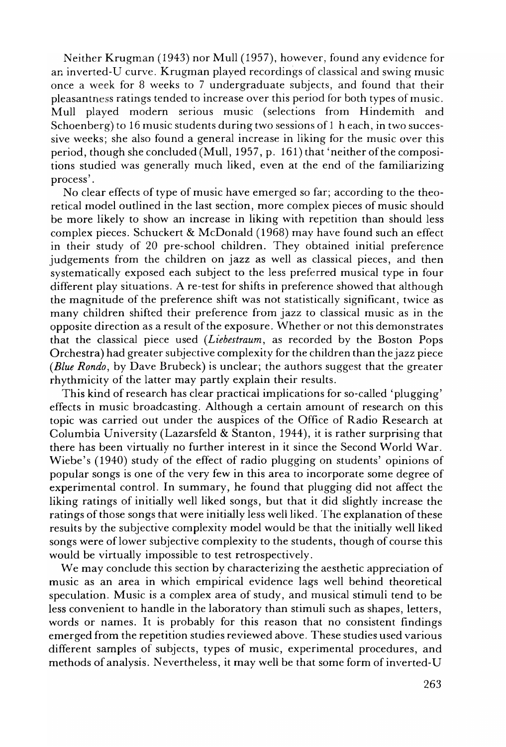Neither Krugman (1943) nor Mull (1957), however, found any evidence for an inverted-U curve. Krugman played recordings of classical and swing music once a week for 8 weeks to 7 undergraduate subjects, and found that their pleasantness ratings tended to increase over this period for both types of music. Mull played modern serious music (selections from Hindemith and Schoenberg) to 16 music students during two sessions of 1 h each, in two successive weeks; she also found a general increase in liking for the music over this period, though she concluded (Mull, 1957, p. 161) that 'neither of the compositions studied was generally much liked, even at the end of the familiarizing process' .

No clear effects of type of music have emerged so far; according to the theoretical model outlined in the last section, more complex pieces of music should be more likely to show an increase in liking with repetition than should less complex pieces. Schuckert & McDonald (1968) may have found such an effect in their study of 20 pre-school children. They obtained initial preference judgements from the children on jazz as well as classical pieces, and then systematically exposed each subject to the less prekrred musical type in four different play situations. A re-test for shifts in preference showed that although the magnitude of the preference shift was not statistically significant, twice as many children shifted their preference from jazz to classical music as in the opposite direction as a result ofthe exposure. Whether or not this demonstrates that the classical piece used *(Liebestraum,* as recorded by the Boston Pops Orchestra) had greater subjective complexity for the children than the jazz piece *(Blue Rondo,* by Dave Brubeck) is unclear; the authors suggest that the greater rhythmicity of the latter may partly explain their results.

This kind of research has dear practical implications for so-called 'plugging' effects in music broadcasting. Although a certain amount of research on this topic was carried out under the auspices of the Office of Radio Research at Columbia University (Lazarsfeld & Stanton, 1944), it is rather surprising that there has been virtually no further interest in it since the Second World War. Wiebe's (1940) study of the effect of radio plugging on students' opinions of popular songs is one of the very few in this area to incorporate some degree of experimental control. In summary, he found that plugging did not affect the liking ratings of initially well liked songs, but that it did slightly increase the ratings of those songs that were initially less well liked. The explanation of these results by the subjective complexity model would be that the initially well liked songs were oflower subjective complexity to the students, though of course this would be virtually impossible to test retrospectively.

We may conclude this section by characterizing the aesthetic appreciation of music as an area in which empirical evidence lags well behind theoretical speculation. Music is a complex area of study, and musical stimuli tend to be less convenient to handle in the laboratory than stimuli such as shapes, letters, words or names. It is probably for this reason that no consistent findings emerged from the repetition studies reviewed above. These studies used various different samples of subjects, types of music, experimental procedures, and methods of analysis. Nevertheless, it may well be that some form of inverted-U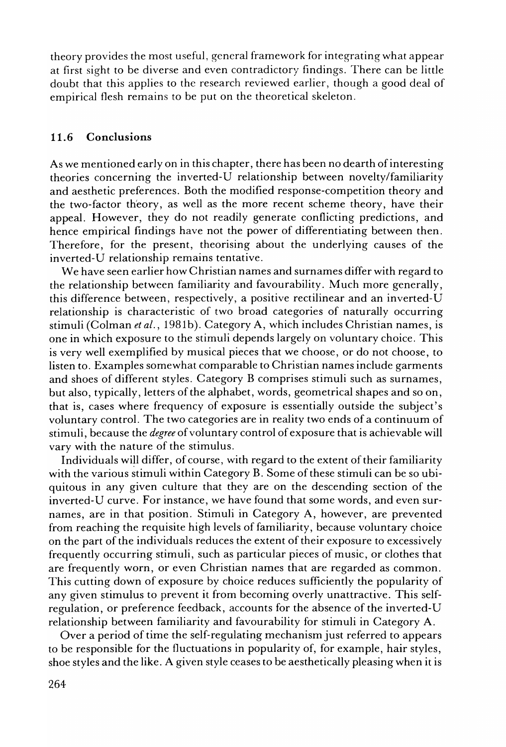theory provides the most useful, general framework for integrating what appear at first sight to be diverse and even contradictory findings. There can be little doubt that this applies to the research reviewed earlier, though a good deal of empirical flesh remains to be put on the theoretical skeleton.

#### **11.6 Conclusions**

As we mentioned early on in this chapter, there has been no dearth of interesting theories concerning the inverted-U relationship between noveltylfamiliarity and aesthetic preferences. Both the modified response-competition theory and the two-factor theory, as well as the more recent scheme theory, have their appeal. However, they do not readily generate conflicting predictions, and hence empirical findings have not the power of differentiating between then. Therefore, for the present, theorising about the underlying causes of the inverted-U relationship remains tentative.

We have seen earlier how Christian names and surnames differ with regard to the relationship between familiarity and favourability. Much more generally, this difference between, respectively, a positive rectilinear and an inverted-U relationship is characteristic of two broad categories of naturally occurring stimuli (Colman *et al.,* 1981b). Category A, which includes Christian names, is one in which exposure to the stimuli depends largely on voluntary choice. This is very well exemplified by musical pieces that we choose, or do not choose, to listen to. Examples somewhat comparable to Christian names include garments and shoes of different styles. Category B comprises stimuli such as surnames, but also, typically, letters of the alphabet, words, geometrical shapes and so on, that is, cases where frequency of exposure is essentially outside the subject's voluntary control. The two categories are in reality two ends of a continuum of stimuli, because the *degree* of voluntary control of exposure that is achievable will vary with the nature of the stimulus.

Individuals will differ, of course, with regard to the extent of their familiarity with the various stimuli within Category B. Some of these stimuli can be so ubiquitous in any given culture that they are on the descending section of the inverted-U curve. For instance, we have found that some words, and even surnames, are in that position. Stimuli in Category A, however, are prevented from reaching the requisite high levels of familiarity, because voluntary choice on the part of the individuals reduces the extent of their exposure to excessively frequently occurring stimuli, such as particular pieces of music, or clothes that are frequently worn, or even Christian names that are regarded as common. This cutting down of exposure by choice reduces sufficiently the popularity of any given stimulus to prevent it from becoming overly unattractive. This selfregulation, or preference feedback, accounts for the absence of the inverted-U relationship between familiarity and favourability for stimuli in Category A.

Over a period of time the self-regulating mechanism just referred to appears to be responsible for the fluctuations in popularity of, for example, hair styles, shoe styles and the like. A given style ceases to be aesthetically pleasing when it is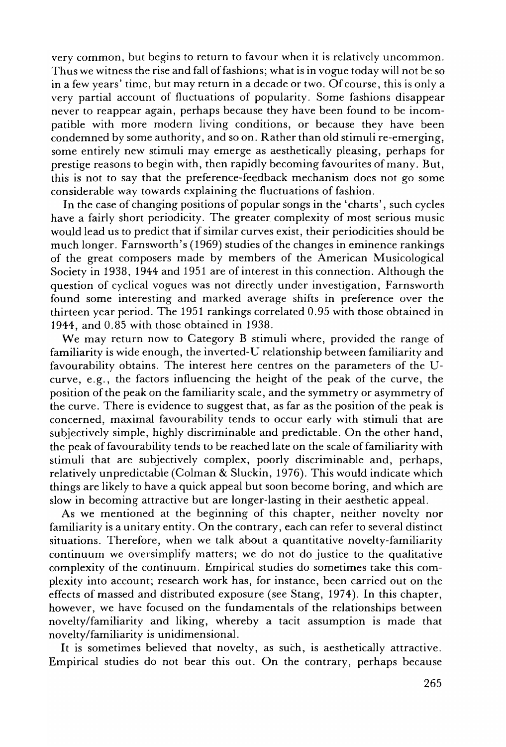very common, but begins to return to favour when it is relatively uncommon. Thus we witness the rise and fall offashions; what is in vogue today will not be so in a few years' time, but may return in a decade or two. Of course, this is only a very partial account of fluctuations of popularity. Some fashions disappear never to reappear again, perhaps because they have been found to be incompatible with more modern living conditions, or because they have been condemned by some authority, and so on. Rather than old stimuli re-emerging, some entirely new stimuli may emerge as aesthetically pleasing, perhaps for prestige reasons to begin with, then rapidly becoming favourites of many. But, this is not to say that the preference-feedback mechanism does not go some considerable way towards explaining the fluctuations of fashion.

In the case of changing positions of popular songs in the' charts' , such cycles have a fairly short periodicity. The greater complexity of most serious music would lead us to predict that if similar curves exist, their periodicities should be much longer. Farnsworth's (1969) studies of the changes in eminence rankings of the great composers made by members of the American Musicological Society in 1938, 1944 and 1951 are of interest in this connection. Although the question of cyclical vogues was not directly under investigation, Farnsworth found some interesting and marked average shifts in preference over the thirteen year period. The 1951 rankings correlated 0.95 with those obtained in 1944, and 0.85 with those obtained in 1938.

We may return now to Category B stimuli where, provided the range of familiarity is wide enough, the inverted-U relationship between familiarity and favourability obtains. The interest here centres on the parameters of the Ucurve, e.g., the factors inlluencing the height of the peak of the curve, the position of the peak on the familiarity scale, and the symmetry or asymmetry of the curve. There is evidence to suggest that, as far as the position of the peak is concerned, maximal favourability tends to occur early with stimuli that are subjectively simple, highly discriminable and predictable. On the other hand, the peak of favourability tends to be reached late on the scale of familiarity with stimuli that are subjectively complex, poorly discriminable and, perhaps, relatively unpredictable (Colman & Sluckin, 1976). This would indicate which things are likely to have a quick appeal but soon become boring, and which are slow in becoming attractive but are longer-lasting in their aesthetic appeal.

As we mentioned at the beginning of this chapter, neither novelty nor familiarity is a unitary entity. On the contrary, each can refer to several distinct situations. Therefore, when we talk about a quantitative novelty-familiarity continuum we oversimplify matters; we do not do justice to the qualitative complexity of the continuum. Empirical studies do sometimes take this complexity into account; research work has, for instance, been carried out on the effects of massed and distributed exposure (see Stang, 1974). In this chapter, however, we have focused on the fundamentals of the relationships between noveltylfamiliarity and liking, whereby a tacit assumption is made that novelty/familiarity is unidimensional.

It is sometimes believed that novelty, as such, is aesthetically attractive. Empirical studies do not bear this out. On the contrary, perhaps because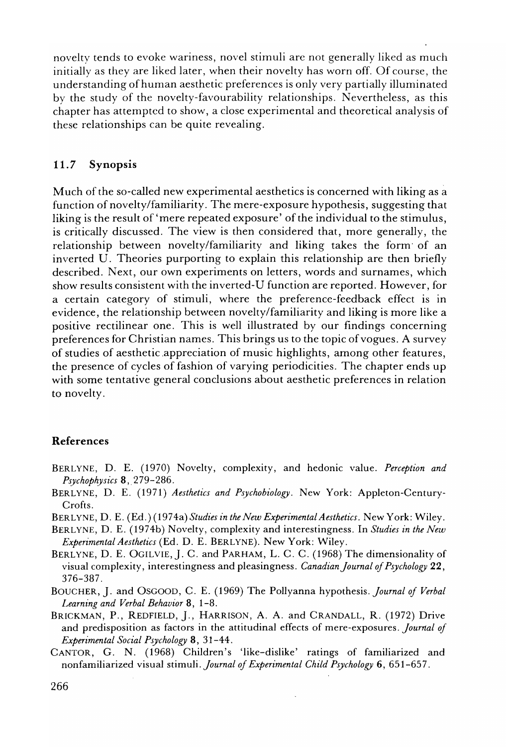novelty tends to evoke wariness, novel stimuli are not generally liked as much initially as they are liked later, when their novelty has worn off. Of course, the understanding of human aesthetic preferences is only very partially illuminated by the study of the novelty-favourability relationships. Nevertheless, as this chapter has attempted to show, a close experimental and theoretical analysis of these relationships can be quite revealing.

## 11.7 Synopsis

Much of the so-called new experimental aesthetics is concerned with liking as a function of noveltylfamiliarity. The mere-exposure hypothesis, suggesting that liking is the result of ' mere repeated exposure' of the individual to the stimulus, is critically discussed. The view is then considered that, more generally, the relationship between novelty/familiarity and liking takes the form· of an inverted U. Theories purporting to explain this relationship are then briefly described. Next, our own experiments on letters, words and surnames, which show results consistent with the inverted-U function are reported. However, for a certain category of stimuli, where the preference-feedback effect is in evidence, the relationship between noveltylfamiliarity and liking is more like a positive rectilinear one. This is well illustrated by our findings concerning preferences for Christian names. This brings us to the topic of vogues. A survey of studies of aesthetic .appreciation of music highlights, among other features, the presence of cycles of fashion of varying periodicities. The chapter ends up with some tentative general conclusions about aesthetic preferences in relation to novelty.

# **References**

- BERLYNE, D. E. (1970) Novelty, complexity, and hedonic value. *Perception and Psychophysics 8,279-286.*
- BERLYNE, D. E. (1971) *Aesthetics and Psychobiology.* New York: Appleton-Century-Crofts.
- BERLYNE, D. E. (Ed.)(1974a) *Studies in the New Experimental A esthetics.* New York: Wiley.
- BERLYNE, D. E. (1974b) Novelty, complexity and interestingness. In *Studies in the New Experimental Aesthetics* (Ed. D. E. BERLYNE). New York: Wiley.
- BERLYNE, D. E. OGILVIE, J. C. and PARHAM, L. C. C. (1968) The dimensionality of visual complexity, interestingness and pleasingness. *Canadian Journal of Psychology 22,*  376-387.
- BOUCHER, J. and OSGOOD, C. E. (1969) The Pollyanna hypothesis. *Journal of Verbal Learning and Verbal Behauior* 8, 1-8.
- BRICKMAN, P., REDFIELD, J., HARRISON, A. A. and CRANDALL, R. (1972) Drive and predisposition as factors in the attitudinal effects of mere-exposures. *Journal of Experimental Social Psychology* 8, 3 t -44.
- CANTOR, G. N. (1968) Children's 'like-dislike' ratings of familiarized and non familiarized visual stimuli. *Journal of Experimental Child Psychology* 6, 651-657.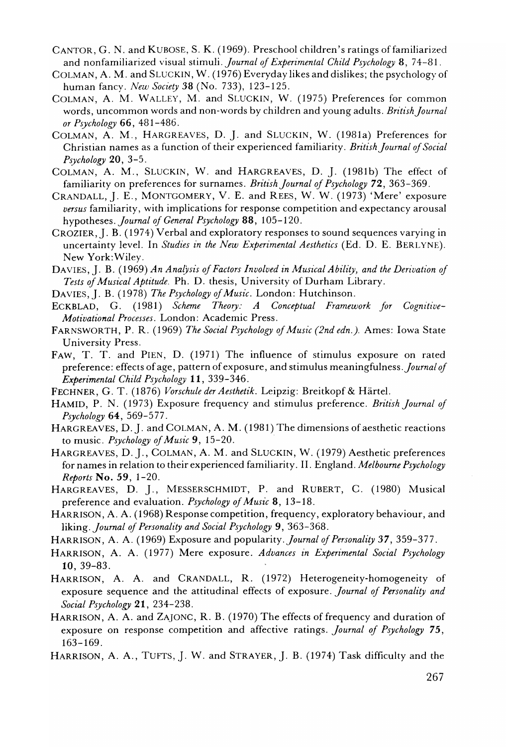- CANTOR, G. N. and KUBOSE, S. K. (1969). Preschool children's ratings offamiliarized and nonfamiliarized visual stimuli. *Journal of Experimental Child Psychology* 8, 74-81.
- COLMAN, A. M. and SLUCKIN, W. (1976) Everyday likes and dislikes; the psychology of human fancy. *New Society* 38 (No. 733), 123-125.
- COLMAN, A. M. WALLEY, M. and SLUCKIN, W. (1975) Preferences for common words, uncommon words and non-words by children and young adults. *British Journal or Psychology* 66,481-486.
- COLMAN, A. M., HARGREAVES, D. ]. and SLUCKIN, W. (1981a) Preferences for Christian names as a function of their experienced familiarity. *BritishJournal of Social Psychology* 20, 3-5.
- COLMAN, A. M., SLUCKIN, W. and HARGREAVES, D. ]. (1981b) The effect of familiarity on preferences for surnames. *British Journal of Psychology* 72, 363-369.
- CRANDALL,]. E., MONTGOMERY, V. E. and REES, W. W. (1973) 'Mere' exposure *versus* familiarity, with implications for response competition and expectancy arousal hypotheses. *Journal of General Psychology* 88,105-120.
- CROZIER,]. B. (1974) Verbal and exploratory responses to sound sequences varying in uncertainty level. In *Studies in the New Experimental Aesthetics* (Ed. D. E. BERLYNE). New York:Wiley.
- DAVIES,]. B. (1969) *An Analysis of Factors Involved in Musical Ability, and the Derivation of*  Tests of *Musical Aptitude*. Ph. D. thesis, University of Durham Library.
- DAVIES,]. B. (1978) *The Psychology of Music.* London: Hutchinson.
- ECKBLAD, G. (1981) *Scheme Theory: A Conceptual Framework for Cognitive-Motivational Processes.* London: Academic Press.
- FARNSWORTH, P. R. (1969) *The Social Psychology of Music (2nd edn.).* Ames: Iowa State University Press.
- FAW, T. T. and PIEN, D. (1971) The influence of stimulus exposure on rated preference: effects of age, pattern of exposure, and stimulus meaningfulness *.Journal of Experimental Child Psychology* 11, 339-346.
- FECHNER, G. T. (1876) *Vorschule der Aesthetik*. Leipzig: Breitkopf & Härtel.
- HAMID, P. N. (1973) Exposure frequency and stimulus preference. *British Journal of Psychology* 64, 569-577.
- HARGREAVES, D.]. and COLMAN, A. M. (1981) The dimensions of aesthetic reactions to music. *Psychology of Music* 9, 15-20.
- HARGREAVES, D.]., COLMAN, A. M. and SLUCKIN, W. (1979) Aesthetic preferences for names in relation to their experienced familiarity. II. England. *Melbourne Psychology Reports* No. 59, 1-20.
- HARGREAVES, D. ]., MESSERSCHMIDT, P. and RUBERT, C. (1980) Musical preference and evaluation. *Psychology of Music* 8, 13-18.
- HARRISON, A. A. (1968) Response competition, frequency, exploratory behaviour, and liking. *Journal of Personality and Social Psychology* 9, 363-368.
- HARRISON, A. A. (1969) Exposure and popularity. *Journal of Personality* 37, 359-377.
- HARRISON, A. A. (1977) Mere exposure. *Advances in Experimental Social Psychology*  10,39-83.
- HARRISON, A. A. and CRANDALL, R. (1972) Heterogeneity-homogeneity of exposure sequence and the attitudinal effects of exposure. *Journal of Personality and Social Psychology* 21, 234-238.
- HARRISON, A. A. and ZAJONC, R. B. (1970) The effects of frequency and duration of exposure on response competition and affective ratings. *Journal of Psychology 75,*  163-169.
- HARRISON, A. A., TUFTS, J. W. and STRAYER,]. B. (1974) Task difficulty and the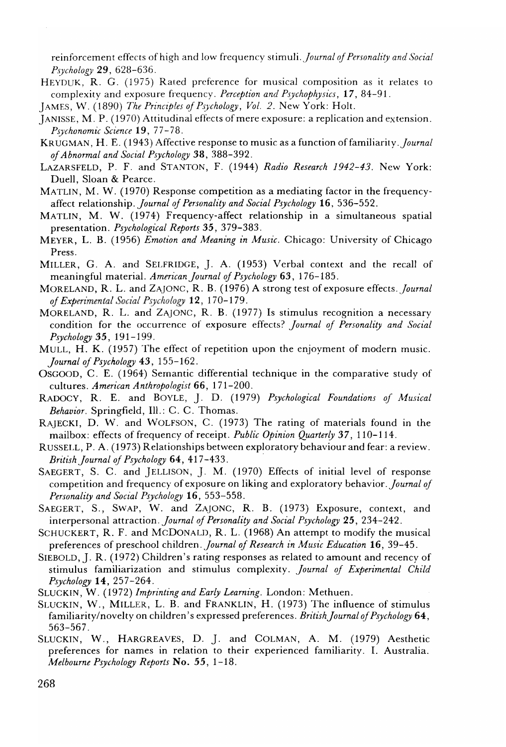reinforcement effects of high and low frequency stimuli. *Journal of Personality and Social Psychology* 29, 628-636.

- HEYDUK, R. G. (1975) Rated preference for musical composition as it relates to complexity and exposure frequency. *Perception and Psychophysics*, 17, 84-91.
- JAMES, W. (1890) *The Princzples of Psychology, Vo!.* 2. New York: Holt.
- J ANISSE, M. P. (1970) Attitudinal effects of mere exposure: a replication and extension. *Psycho nomic Science* 19, 77 -7 8.
- KRUGMAN, H. E. (1943) Affective response to music as a function of familiarity. *Journal of Abnormal and Social Psychology* 38, 388-392.
- LAZARSFELD, P. F. and STANTON, F. (1944) *Radio Research* 1942-43. New York: Duell, Sloan & Pearce.
- MATLIN, M. W. (1970) Response competition as a mediating factor in the frequencyaffect relationship. *Journal of Personality and Social PS)'chology* 16, 536-552.
- MATLIN, M. W. (1974) Frequency-affect relationship in a simultaneous spatial presentation. *Psychological Reports* 35, 379-383.
- MEYER, L. B. (1956) *Emotion and Meaning in Music.* Chicago: University of Chicago Press.
- MILLER, G. A. and SELFRIDGE, j. A. (1953) Verbal context and the recall of meaningful material. *American Journal of Psychology* 63, 176-185.
- MORELAND, R. L. and ZAJONC, R. B. (1976) A strong test of exposure effects. *Journal of Experimental Social Psydwlogy* 12, 170-179.
- MORELAND, R. L. and ZAJONC, R. B. (1977) Is stimulus recognition a necessary condition for the occurrence of exposure effects? *Journal of Personality and Social Psychology* 35, 191-199.
- MULL, H. K. (1957) The eflect of repetition upon the enjoyment of modern music. *Journal of Psychology* 43, 155-162.
- OSGOOD, C. E. (1964) Semantic differential technique in the comparative study of cultures. *American Anthropologist* 66, 171-200.
- RADOCY, R. E. and BOYLE, J. D. (1979) *Psychological Foundations of Musical Behavior.* Springfield, Ill.: C. C. Thomas.
- RAJECKI, D. W. and WOLFSON, C. (1973) The rating of materials found in the mailbox: effects of frequency of receipt. *Public Opinion Quarterly* 37, 110-114.
- RUSSELL, P. A. (1973) Relationships between exploratory behaviour and fear: a review. British Journal of Psychology 64, 417-433.
- SAEGERT, S. C. and JELLISON, J. M. (1970) Effects of initial level of response competition and frequency of exposure on liking and exploratory behavior. *Journal of Personality and Social Psychology* 16, 553-558.
- SAEGERT, S., SWAP, W. and ZAjONC, R. B. (1973) Exposure, context, and interpersonal attraction. *Journal of Personality and Social Psychology* 25, 234-242.
- SCHUCKERT, R. F. and McDoNALD, R. L. (1968) An attempt to modify the musical preferences of preschool children. *Journal of Research in Music Education* 16, 39-45.
- SIEBOLD, J. R. (1972) Children's rating responses as related to amount and recency of stimulus familiarization and stimulus complexity. *Journal of Experimental Child Psychology* 14, 257-264.
- SLUCKIN, W. (1972) *Imprinting and Early Learning.* London: Methuen.
- SLUCKIN, W., MILLER, L. B. and FRANKLIN, H. (1973) The influence of stimulus familiarity/novelty on children's expressed preferences. *BritishJournal of Psychology* 64, 563-567.
- SLUCKIN, W., HARGREAVES, D. j. and COLMAN, A. M. (1979) Aesthetic preferences for names in relation to their experienced familiarity. I. Australia. *Melbourne Psychology Reports* No. 55, 1-18.